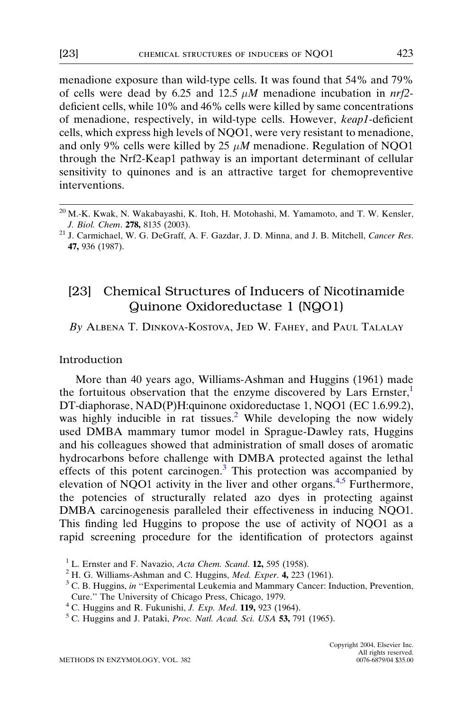<span id="page-0-0"></span>menadione exposure than wild-type cells. It was found that 54% and 79% of cells were dead by 6.25 and 12.5  $\mu$ M menadione incubation in nrf2deficient cells, while 10% and 46% cells were killed by same concentrations of menadione, respectively, in wild-type cells. However, keap1-deficient cells, which express high levels of NQO1, were very resistant to menadione, and only 9% cells were killed by 25  $\mu$ M menadione. Regulation of NOO1 through the Nrf2-Keap1 pathway is an important determinant of cellular sensitivity to quinones and is an attractive target for chemopreventive interventions.

# [23] Chemical Structures of Inducers of Nicotinamide Quinone Oxidoreductase 1 (NQO1)

By Albena T. Dinkova-Kostova, Jed W. Fahey, and Paul Talalay

#### Introduction

More than 40 years ago, Williams-Ashman and Huggins (1961) made the fortuitous observation that the enzyme discovered by Lars Ernster,<sup>1</sup> DT-diaphorase, NAD(P)H:quinone oxidoreductase 1, NQO1 (EC 1.6.99.2), was highly inducible in rat tissues.<sup>2</sup> While developing the now widely used DMBA mammary tumor model in Sprague-Dawley rats, Huggins and his colleagues showed that administration of small doses of aromatic hydrocarbons before challenge with DMBA protected against the lethal effects of this potent carcinogen.<sup>3</sup> This protection was accompanied by elevation of NQO1 activity in the liver and other organs.<sup>4,5</sup> Furthermore, the potencies of structurally related azo dyes in protecting against DMBA carcinogenesis paralleled their effectiveness in inducing NQO1. This finding led Huggins to propose the use of activity of NQO1 as a rapid screening procedure for the identification of protectors against

 $^{20}$  M.-K. Kwak, N. Wakabayashi, K. Itoh, H. Motohashi, M. Yamamoto, and T. W. Kensler, J. Biol. Chem. 278, 8135 (2003). 21 J. Carmichael, W. G. DeGraff, A. F. Gazdar, J. D. Minna, and J. B. Mitchell, Cancer Res.

<sup>47,</sup> 936 (1987).

<sup>&</sup>lt;sup>1</sup> L. Ernster and F. Navazio, *Acta Chem. Scand.* **12,** 595 (1958). <sup>2</sup> H. G. Williams-Ashman and C. Huggins, *Med. Exper.* **4**, 223 (1961). <sup>3</sup> C. B. Huggins, *in* "Experimental Leukemia and Mammary Cancer: Induction, P Cure.'' The University of Chicago Press, Chicago, 1979.

<sup>&</sup>lt;sup>4</sup> C. Huggins and R. Fukunishi, *J. Exp. Med.* **119**, 923 (1964). <sup>5</sup> C. Huggins and J. Pataki, *Proc. Natl. Acad. Sci. USA* **53,** 791 (1965).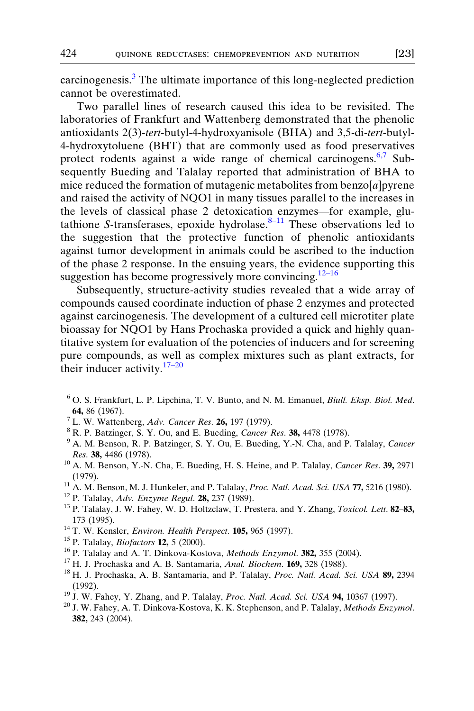<span id="page-1-0"></span>carcinogenesis.[3](#page-0-0) The ultimate importance of this long-neglected prediction cannot be overestimated.

Two parallel lines of research caused this idea to be revisited. The laboratories of Frankfurt and Wattenberg demonstrated that the phenolic antioxidants 2(3)-tert-butyl-4-hydroxyanisole (BHA) and 3,5-di-tert-butyl-4-hydroxytoluene (BHT) that are commonly used as food preservatives protect rodents against a wide range of chemical carcinogens.<sup>6,7</sup> Subsequently Bueding and Talalay reported that administration of BHA to mice reduced the formation of mutagenic metabolites from benzo $[a]$  pyrene and raised the activity of NQO1 in many tissues parallel to the increases in the levels of classical phase 2 detoxication enzymes—for example, glutathione S-transferases, epoxide hydrolase. $8-11$  These observations led to the suggestion that the protective function of phenolic antioxidants against tumor development in animals could be ascribed to the induction of the phase 2 response. In the ensuing years, the evidence supporting this suggestion has become progressively more convincing.12–16

Subsequently, structure-activity studies revealed that a wide array of compounds caused coordinate induction of phase 2 enzymes and protected against carcinogenesis. The development of a cultured cell microtiter plate bioassay for NQO1 by Hans Prochaska provided a quick and highly quantitative system for evaluation of the potencies of inducers and for screening pure compounds, as well as complex mixtures such as plant extracts, for their inducer activity. $17-20$ 

- <sup>6</sup> O. S. Frankfurt, L. P. Lipchina, T. V. Bunto, and N. M. Emanuel, Biull. Eksp. Biol. Med. **64,** 86 (1967).<br><sup>7</sup> L. W. Wattenberg, *Adv. Cancer Res.* **26,** 197 (1979).<br><sup>8</sup> R. P. Batzinger, S. Y. Ou, and E. Bueding, *Cancer Res.* **38,** 4478 (1978).<br><sup>9</sup> A. M. Benson, R. P. Batzinger, S. Y. Ou, E. Bueding, Y.-N. Cha
- 
- 
- Res. 38, 4486 (1978).<br><sup>10</sup> A. M. Benson, Y.-N. Cha, E. Bueding, H. S. Heine, and P. Talalay, *Cancer Res.* 39, 2971
- (1979).<br><sup>11</sup> A. M. Benson, M. J. Hunkeler, and P. Talalay, *Proc. Natl. Acad. Sci. USA* **77,** 5216 (1980).<br><sup>12</sup> P. Talalay, *Adv. Enzyme Regul.* **28,** 237 (1989).<br><sup>13</sup> P. Talalay, J. W. Fahey, W. D. Holtzclaw, T. Prestera,
- 
- 
- 173 (1995).<br><sup>14</sup> T. W. Kensler, *Environ. Health Perspect.* **105**, 965 (1997).<br><sup>15</sup> P. Talalay, *Biofactors* **12**, 5 (2000).<br><sup>16</sup> P. Talalay and A. T. Dinkova-Kostova, *Methods Enzymol*. **382**, 355 (2004).<br><sup>17</sup> H. J. Proc
- 
- 
- 
- 
- (1992). <sup>19</sup> J. W. Fahey, Y. Zhang, and P. Talalay, *Proc. Natl. Acad. Sci. USA* **94,** 10367 (1997). <sup>20</sup> J. W. Fahey, A. T. Dinkova-Kostova, K. K. Stephenson, and P. Talalay, *Methods Enzymol.*
- 
- 382, 243 (2004).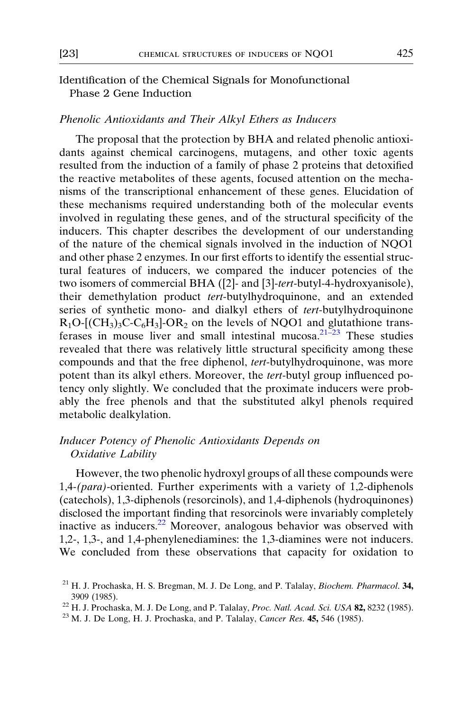### <span id="page-2-0"></span>Identification of the Chemical Signals for Monofunctional Phase 2 Gene Induction

### Phenolic Antioxidants and Their Alkyl Ethers as Inducers

The proposal that the protection by BHA and related phenolic antioxidants against chemical carcinogens, mutagens, and other toxic agents resulted from the induction of a family of phase 2 proteins that detoxified the reactive metabolites of these agents, focused attention on the mechanisms of the transcriptional enhancement of these genes. Elucidation of these mechanisms required understanding both of the molecular events involved in regulating these genes, and of the structural specificity of the inducers. This chapter describes the development of our understanding of the nature of the chemical signals involved in the induction of NQO1 and other phase 2 enzymes. In our first efforts to identify the essential structural features of inducers, we compared the inducer potencies of the two isomers of commercial BHA ([2]- and [3]-tert-butyl-4-hydroxyanisole), their demethylation product tert-butylhydroquinone, and an extended series of synthetic mono- and dialkyl ethers of tert-butylhydroquinone  $R_1O$ -[ $(CH_3)_3C$ - $C_6H_3$ ]- $OR_2$  on the levels of NQO1 and glutathione transferases in mouse liver and small intestinal mucosa. $21\overline{2}3$  These studies revealed that there was relatively little structural specificity among these compounds and that the free diphenol, tert-butylhydroquinone, was more potent than its alkyl ethers. Moreover, the tert-butyl group influenced potency only slightly. We concluded that the proximate inducers were probably the free phenols and that the substituted alkyl phenols required metabolic dealkylation.

### Inducer Potency of Phenolic Antioxidants Depends on Oxidative Lability

However, the two phenolic hydroxyl groups of all these compounds were 1,4-(para)-oriented. Further experiments with a variety of 1,2-diphenols (catechols), 1,3-diphenols (resorcinols), and 1,4-diphenols (hydroquinones) disclosed the important finding that resorcinols were invariably completely inactive as inducers.22 Moreover, analogous behavior was observed with 1,2-, 1,3-, and 1,4-phenylenediamines: the 1,3-diamines were not inducers. We concluded from these observations that capacity for oxidation to

 $21$  H. J. Prochaska, H. S. Bregman, M. J. De Long, and P. Talalay, *Biochem. Pharmacol*. 34, 3909 (1985).<br><sup>22</sup> H. J. Prochaska, M. J. De Long, and P. Talalay, *Proc. Natl. Acad. Sci. USA* **82**, 8232 (1985).<br><sup>23</sup> M. J. De Long, H. J. Prochaska, and P. Talalay, *Cancer Res.* **45**, 546 (1985).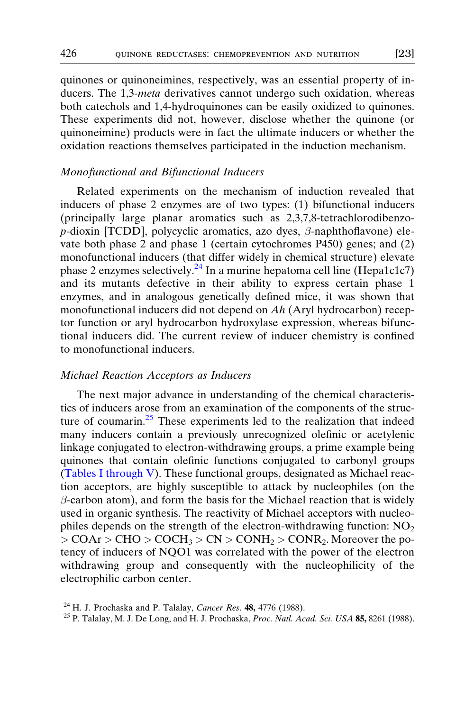quinones or quinoneimines, respectively, was an essential property of inducers. The 1,3-meta derivatives cannot undergo such oxidation, whereas both catechols and 1,4-hydroquinones can be easily oxidized to quinones. These experiments did not, however, disclose whether the quinone (or quinoneimine) products were in fact the ultimate inducers or whether the oxidation reactions themselves participated in the induction mechanism.

#### Monofunctional and Bifunctional Inducers

Related experiments on the mechanism of induction revealed that inducers of phase 2 enzymes are of two types: (1) bifunctional inducers (principally large planar aromatics such as 2,3,7,8-tetrachlorodibenzo $p$ -dioxin [TCDD], polycyclic aromatics, azo dyes,  $\beta$ -naphthoflavone) elevate both phase 2 and phase 1 (certain cytochromes P450) genes; and (2) monofunctional inducers (that differ widely in chemical structure) elevate phase 2 enzymes selectively.<sup>24</sup> In a murine hepatoma cell line (Hepa1c1c7) and its mutants defective in their ability to express certain phase 1 enzymes, and in analogous genetically defined mice, it was shown that monofunctional inducers did not depend on Ah (Aryl hydrocarbon) receptor function or aryl hydrocarbon hydroxylase expression, whereas bifunctional inducers did. The current review of inducer chemistry is confined to monofunctional inducers.

### Michael Reaction Acceptors as Inducers

The next major advance in understanding of the chemical characteristics of inducers arose from an examination of the components of the structure of coumarin. $25$  These experiments led to the realization that indeed many inducers contain a previously unrecognized olefinic or acetylenic linkage conjugated to electron-withdrawing groups, a prime example being quinones that contain olefinic functions conjugated to carbonyl groups ([Tables I through V\)](#page-4-0). These functional groups, designated as Michael reaction acceptors, are highly susceptible to attack by nucleophiles (on the  $\beta$ -carbon atom), and form the basis for the Michael reaction that is widely used in organic synthesis. The reactivity of Michael acceptors with nucleophiles depends on the strength of the electron-withdrawing function:  $NO<sub>2</sub>$  $>$  COAr  $>$  CHO  $>$  COCH<sub>3</sub> $>$  CN  $>$  CONH<sub>2</sub> $>$  CONR<sub>2</sub>. Moreover the potency of inducers of NQO1 was correlated with the power of the electron withdrawing group and consequently with the nucleophilicity of the electrophilic carbon center.

<span id="page-3-0"></span>

<sup>&</sup>lt;sup>24</sup> H. J. Prochaska and P. Talalay, *Cancer Res.* **48,** 4776 (1988). <sup>25</sup> P. Talalay, M. J. De Long, and H. J. Prochaska, *Proc. Natl. Acad. Sci. USA* **85,** 8261 (1988).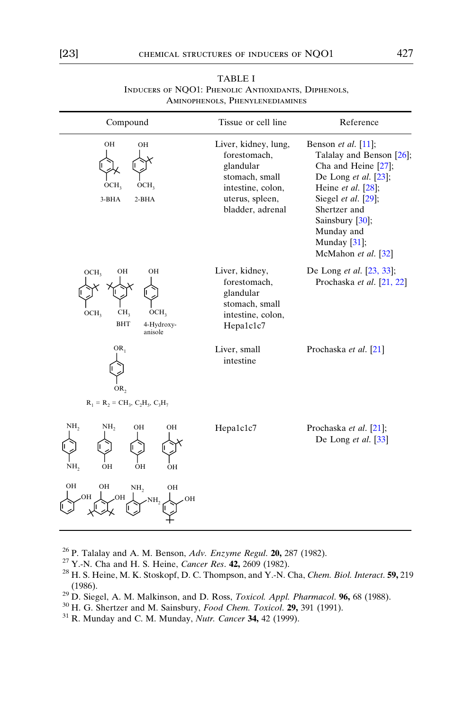<span id="page-4-0"></span>

| Compound                                                                                                                | Tissue or cell line                                                                                                             | Reference                                                                                                                                                                                                                                                        |
|-------------------------------------------------------------------------------------------------------------------------|---------------------------------------------------------------------------------------------------------------------------------|------------------------------------------------------------------------------------------------------------------------------------------------------------------------------------------------------------------------------------------------------------------|
| OН<br>OH<br>OCH <sub>3</sub><br>OCH <sub>3</sub><br>$3-BHA$<br>$2-BHA$                                                  | Liver, kidney, lung,<br>forestomach,<br>glandular<br>stomach, small<br>intestine, colon,<br>uterus, spleen,<br>bladder, adrenal | Benson <i>et al.</i> $[11]$ ;<br>Talalay and Benson [26];<br>Cha and Heine [27];<br>De Long et al. $[23]$ ;<br>Heine <i>et al.</i> $[28]$ ;<br>Siegel et al. [29];<br>Shertzer and<br>Sainsbury $[30]$ ,<br>Munday and<br>Munday $[31]$ ;<br>McMahon et al. [32] |
| OH<br>OCH <sub>2</sub><br>OН<br>CH <sub>3</sub><br>OCH <sub>3</sub><br>OCH <sub>3</sub><br>BHT<br>4-Hydroxy-<br>anisole | Liver, kidney,<br>forestomach,<br>glandular<br>stomach, small<br>intestine, colon,<br>Hepa1c1c7                                 | De Long et al. [23, 33];<br>Prochaska et al. [21, 22]                                                                                                                                                                                                            |
| $OR_1$<br>OR <sub>2</sub><br>$R_1 = R_2 = CH_3, C_2H_3, C_3H_7$                                                         | Liver, small<br>intestine                                                                                                       | Prochaska et al. [21]                                                                                                                                                                                                                                            |
| NH <sub>2</sub><br>NH,<br>OН<br>OH<br>OH<br>OH<br>NH,<br>OН                                                             | Hepa1c1c7                                                                                                                       | Prochaska et al. [21];<br>De Long et al. $[33]$                                                                                                                                                                                                                  |
| OН<br>OH<br>NH <sub>2</sub><br>OH<br>OН<br>OН<br>OH<br>NH.                                                              |                                                                                                                                 |                                                                                                                                                                                                                                                                  |

#### TABLE I Inducers of NQO1: Phenolic Antioxidants, Diphenols, Aminophenols, Phenylenediamines

- 
- 
- <sup>26</sup> P. Talalay and A. M. Benson, *Adv. Enzyme Regul.* **20,** 287 (1982).<br><sup>27</sup> Y.-N. Cha and H. S. Heine, *Cancer Res.* **42,** 2609 (1982).<br><sup>28</sup> H. S. Heine, M. K. Stoskopf, D. C. Thompson, and Y.-N. Cha, *Chem. Biol. Inter* (1986). <sup>29</sup> D. Siegel, A. M. Malkinson, and D. Ross, *Toxicol. Appl. Pharmacol.* **96,** 68 (1988). <sup>30</sup> H. G. Shertzer and M. Sainsbury, *Food Chem. Toxicol.* **29,** 391 (1991). <sup>31</sup> R. Munday and C. M. Munday, *Nutr. Canc*
- 
- 
-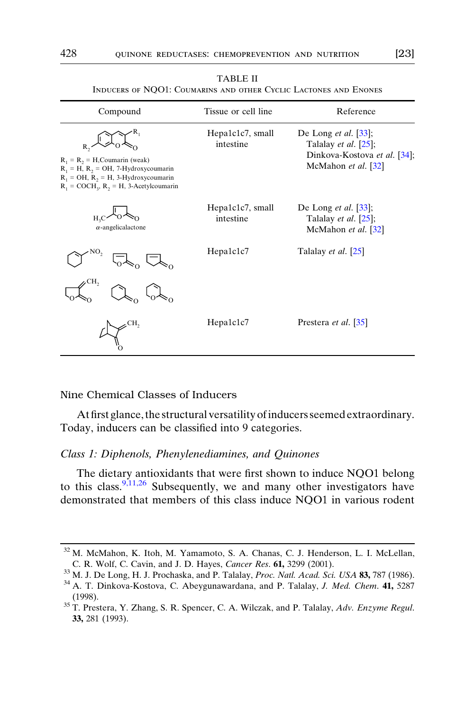<span id="page-5-0"></span>

| Compound                                                                                                                                                                                 | Tissue or cell line           | Reference                                                                                                                          |
|------------------------------------------------------------------------------------------------------------------------------------------------------------------------------------------|-------------------------------|------------------------------------------------------------------------------------------------------------------------------------|
| $R_1 = R_2 = H$ , Coumarin (weak)<br>$R_1 = H$ , $R_2 = OH$ , 7-Hydroxycoumarin<br>$R_1 = OH$ , $R_2 = H$ , 3-Hydroxycoumarin<br>$R_1$ = COCH <sub>3</sub> , $R_2$ = H, 3-Acetylcoumarin | Hepa1c1c7, small<br>intestine | De Long <i>et al.</i> $\left[33\right]$ ;<br>Talalay <i>et al.</i> $[25]$ ;<br>Dinkova-Kostova et al. [34];<br>McMahon et al. [32] |
| $\alpha$ -angelicalactone                                                                                                                                                                | Hepa1c1c7, small<br>intestine | De Long <i>et al.</i> $\left[33\right]$ ;<br>Talalay <i>et al.</i> $[25]$ ;<br>McMahon et al. [32]                                 |
|                                                                                                                                                                                          | Hepa1c1c7                     | Talalay et al. [25]                                                                                                                |
|                                                                                                                                                                                          |                               |                                                                                                                                    |
| CH <sub>2</sub>                                                                                                                                                                          | Hepa1c1c7                     | Prestera et al. [35]                                                                                                               |

| TABLE II                                                         |  |
|------------------------------------------------------------------|--|
| INDUCERS OF NOO1: COUMARINS AND OTHER CYCLIC LACTONES AND ENONES |  |

## Nine Chemical Classes of Inducers

Atfirst glance, the structural versatility of inducers seemed extraordinary. Today, inducers can be classified into 9 categories.

#### Class 1: Diphenols, Phenylenediamines, and Quinones

The dietary antioxidants that were first shown to induce NQO1 belong to this class.<sup>[9,11,26](#page-1-0)</sup> Subsequently, we and many other investigators have demonstrated that members of this class induce NQO1 in various rodent

 $32$  M. McMahon, K. Itoh, M. Yamamoto, S. A. Chanas, C. J. Henderson, L. I. McLellan, C. R. Wolf, C. Cavin, and J. D. Hayes, *Cancer Res.* **61**, 3299 (2001).

<sup>&</sup>lt;sup>33</sup> M. J. De Long, H. J. Prochaska, and P. Talalay, *Proc. Natl. Acad. Sci. USA* **83**, 787 (1986).<br><sup>34</sup> A. T. Dinkova-Kostova, C. Abeygunawardana, and P. Talalay, *J. Med. Chem.* **41**, 5287

<sup>(1998).</sup>  $35$  T. Prestera, Y. Zhang, S. R. Spencer, C. A. Wilczak, and P. Talalay, Adv. Enzyme Regul. 33, 281 (1993).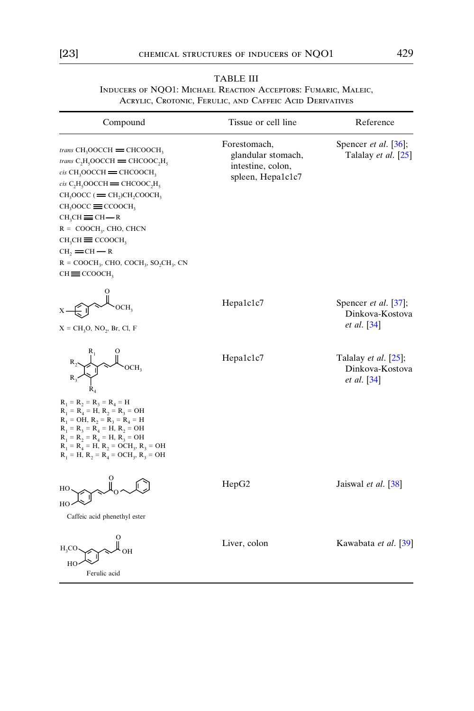| TABLE III                                                      |
|----------------------------------------------------------------|
| INDUCERS OF NOO1: MICHAEL REACTION ACCEPTORS: FUMARIC, MALEIC, |
| ACRYLIC, CROTONIC, FERULIC, AND CAFFEIC ACID DERIVATIVES       |

| Compound                                                                                                                                                                                                                                                                                                                                                                                                                                                                                                                                                    | Tissue or cell line                                                          | Reference                                                               |
|-------------------------------------------------------------------------------------------------------------------------------------------------------------------------------------------------------------------------------------------------------------------------------------------------------------------------------------------------------------------------------------------------------------------------------------------------------------------------------------------------------------------------------------------------------------|------------------------------------------------------------------------------|-------------------------------------------------------------------------|
| <i>trans</i> $CH_3OOCCH = CHCOOCH_3$<br><i>trans</i> $C_2H_2OOCCH = CHCOOC_2H_2$<br>$cis$ CH <sub>3</sub> OOCCH = CHCOOCH <sub>3</sub><br>$cis$ C <sub>2</sub> H <sub>5</sub> OOCCH = CHCOOC <sub>2</sub> H <sub>5</sub><br>$CH_3OOCC$ ( $=$ CH <sub>2</sub> )CH <sub>2</sub> COOCH <sub>3</sub><br>$CH_3OOCC \equiv CCOOCH_3$<br>$CH_3CH \equiv CH \rightarrow R$<br>$R = COOCH3$ , CHO, CHCN<br>$CH3CH \equiv COOCH3$<br>$CH_2 = CH \rightarrow R$<br>$R = COOCH_3$ , CHO, COCH <sub>3</sub> , SO <sub>2</sub> CH <sub>3</sub> , CN<br>$CH \equiv CCOOCH$ | Forestomach,<br>glandular stomach,<br>intestine, colon,<br>spleen, Hepa1c1c7 | Spencer <i>et al.</i> $[36]$ ;<br>Talalay et al. [25]                   |
| OCH,<br>$X = CH_3O$ , NO <sub>2</sub> , Br, Cl, F                                                                                                                                                                                                                                                                                                                                                                                                                                                                                                           | Hepa1c1c7                                                                    | Spencer et al. [37];<br>Dinkova-Kostova<br><i>et al.</i> [34]           |
| OCH <sub>2</sub><br>$R_1 = R_2 = R_3 = R_4 = H$<br>$R_1 = R_4 = H$ , $R_2 = R_3 = OH$<br>$R_1 = OH$ , $R_2 = R_3 = R_4 = H$<br>$R_1 = R_3 = R_4 = H, R_2 = OH$<br>$R_1 = R_2 = R_4 = H, R_3 = OH$<br>$R_1 = R_4 = H$ , $R_2 = OCH_3$ , $R_3 = OH$<br>$R_1 = H$ , $R_2 = R_4 = OCH_3$ , $R_3 = OH$                                                                                                                                                                                                                                                           | Hepa1c1c7                                                                    | Talalay <i>et al.</i> $[25]$ ;<br>Dinkova-Kostova<br><i>et al.</i> [34] |
| HО<br>HO<br>Caffeic acid phenethyl ester                                                                                                                                                                                                                                                                                                                                                                                                                                                                                                                    | HepG2                                                                        | Jaiswal et al. [38]                                                     |
| $H_2CO$<br>HС<br>Ferulic acid                                                                                                                                                                                                                                                                                                                                                                                                                                                                                                                               | Liver, colon                                                                 | Kawabata et al. [39]                                                    |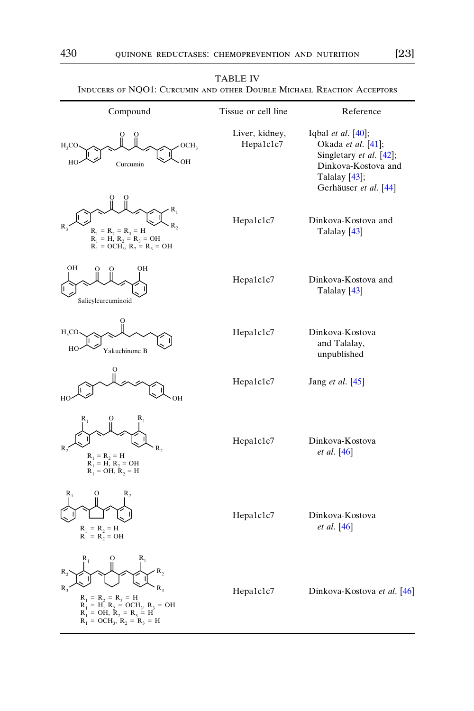| Compound                                                                                                                                                                                       | Tissue or cell line         | Reference                                                                                                                            |
|------------------------------------------------------------------------------------------------------------------------------------------------------------------------------------------------|-----------------------------|--------------------------------------------------------------------------------------------------------------------------------------|
| $H_3CO$<br>OCH <sub>2</sub><br>OН<br>HO<br>Curcumin                                                                                                                                            | Liver, kidney,<br>Hepa1c1c7 | Iqbal et al. [40];<br>Okada et al. [41];<br>Singletary et al. [42];<br>Dinkova-Kostova and<br>Talalay [43];<br>Gerhäuser et al. [44] |
| $R_1$<br>R,<br>R<br>$R_1 = R_2 = R_3 = H$<br>$R_1 = H, R_2 = R_3 = OH$<br>$R_1 = OCH_3, R_2 = R_3 = OH$                                                                                        | Hepa1c1c7                   | Dinkova-Kostova and<br>Talalay [43]                                                                                                  |
| OН<br>OН<br>Salicylcurcuminoid                                                                                                                                                                 | Hepa1c1c7                   | Dinkova-Kostova and<br>Talalay <sup>[43]</sup>                                                                                       |
| $H_3CO$<br>HO<br>Yakuchinone B                                                                                                                                                                 | Hepa1c1c7                   | Dinkova-Kostova<br>and Talalay,<br>unpublished                                                                                       |
| O<br>HO<br>OН                                                                                                                                                                                  | Hepa1c1c7                   | Jang <i>et al.</i> [45]                                                                                                              |
| $R_2$<br>$R_1 = R_2 = H$<br>$R_1 = H_1 H_2 = OH_1$<br>$R_1 = OH_1 H_2 = H$                                                                                                                     | Hepa1c1c7                   | Dinkova-Kostova<br><i>et al.</i> [46]                                                                                                |
| $R_1$<br>R,<br>0<br>$R_1 = R_2 = H$<br>$R_1 = R_2 = OH$                                                                                                                                        | Hepa1c1c7                   | Dinkova-Kostova<br>et al. [46]                                                                                                       |
| $\mathbf{R}_2$<br>R<br>R,<br>$R_{3}$<br>$R_1 = R_2 = R_3 = H$<br>$R_1 = H$ , $R_2 = OCH_3$ , $R_3 = OH$<br>$R_1^{\dagger} = OH$ , $R_2 = R_3 = H^{\dagger}$<br>$R_1 = OCH_3$ , $R_2 = R_3 = H$ | Hepa1c1c7                   | Dinkova-Kostova et al. [46]                                                                                                          |

| <b>TABLE IV</b>                                                        |  |
|------------------------------------------------------------------------|--|
| INDUCERS OF NOO1: CURCUMIN AND OTHER DOUBLE MICHAEL REACTION ACCEPTORS |  |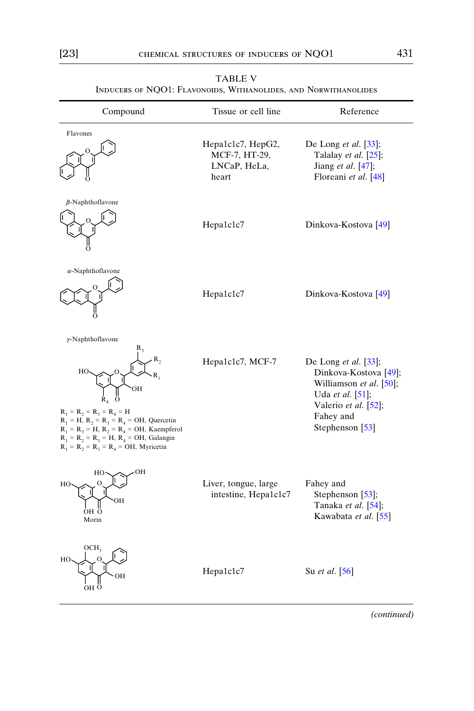| INDUCERS OF NQO1: FLAVONOIDS, WITHANOLIDES, AND NORWITHANOLIDES                                                                                                                                                                                                                                    |                                                             |                                                                                                                                                         |  |
|----------------------------------------------------------------------------------------------------------------------------------------------------------------------------------------------------------------------------------------------------------------------------------------------------|-------------------------------------------------------------|---------------------------------------------------------------------------------------------------------------------------------------------------------|--|
| Compound                                                                                                                                                                                                                                                                                           | Tissue or cell line                                         | Reference                                                                                                                                               |  |
| Flavones                                                                                                                                                                                                                                                                                           | Hepa1c1c7, HepG2,<br>MCF-7, HT-29,<br>LNCaP, HeLa,<br>heart | De Long <i>et al.</i> $\left[33\right]$ ;<br>Talalay et al. [25];<br>Jiang et al. $[47]$ ;<br>Floreani et al. [48]                                      |  |
| $\beta$ -Naphthoflavone                                                                                                                                                                                                                                                                            | Hepa1c1c7                                                   | Dinkova-Kostova <sup>[49]</sup>                                                                                                                         |  |
| $\alpha$ -Naphthoflavone                                                                                                                                                                                                                                                                           | Hepa1c1c7                                                   | Dinkova-Kostova [49]                                                                                                                                    |  |
| $\gamma$ -Naphthoflavone<br>$\mathbf{R}_2$<br>HO<br>OН<br>R,<br>О<br>$R_1 = R_2 = R_3 = R_4 = H$<br>$R_1 = H$ , $R_2 = R_3 = R_4 = OH$ , Quercetin<br>$R_1 = R_2 = H$ , $R_2 = R_4 = OH$ , Kaempferol<br>$R_1 = R_2 = R_3 = H$ , $R_4 = OH$ , Galangin<br>$R_1 = R_2 = R_3 = R_4 = OH$ , Myricetin | Hepa1c1c7, MCF-7                                            | De Long et al. $[33]$ ;<br>Dinkova-Kostova [49];<br>Williamson et al. [50];<br>Uda et al. [51];<br>Valerio et al. [52];<br>Fahey and<br>Stephenson [53] |  |
| OН<br>HO<br>о<br>HO.<br>OН<br>ÒН O<br>Morin                                                                                                                                                                                                                                                        | Liver, tongue, large<br>intestine, Hepa1c1c7                | Fahey and<br>Stephenson [53];<br>Tanaka et al. [54];<br>Kawabata et al. [55]                                                                            |  |
| OCH <sub>3</sub><br>HO<br>∩<br>OH<br>$\circ$<br>OН                                                                                                                                                                                                                                                 | Hepa1c1c7                                                   | Su <i>et al.</i> [56]                                                                                                                                   |  |

TABLE V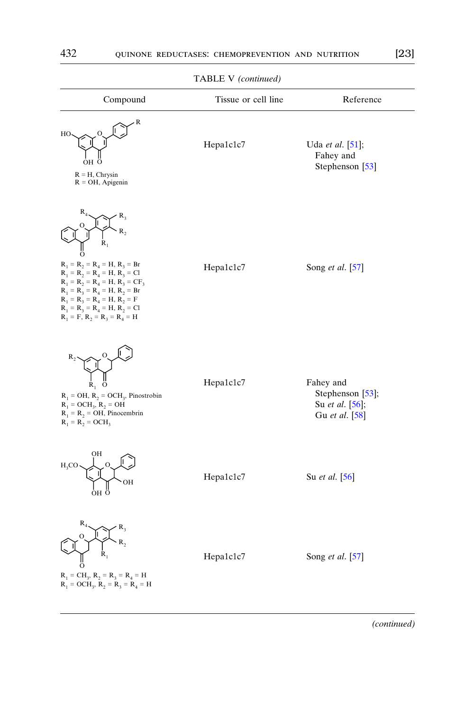|                                                                                                                                                                                                                                                                                               | $\mathbf{r}$        |                                                                    |
|-----------------------------------------------------------------------------------------------------------------------------------------------------------------------------------------------------------------------------------------------------------------------------------------------|---------------------|--------------------------------------------------------------------|
| Compound                                                                                                                                                                                                                                                                                      | Tissue or cell line | Reference                                                          |
| R<br>HO<br>OН<br>$R = H$ , Chrysin<br>$R = OH$ , Apigenin                                                                                                                                                                                                                                     | Hepa1c1c7           | Uda et al. [51];<br>Fahey and<br>Stephenson [53]                   |
| $\mathbf{R}_{_3}$<br>R,<br>R,<br>O<br>$R_1 = R_2 = R_4 = H, R_3 = Br$<br>$R_1 = R_2 = R_4 = H$ , $R_3 = Cl$<br>$R_1 = R_2 = R_4 = H, R_3 = CF_3$<br>$R_1 = R_3 = R_4 = H, R_2 = Br$<br>$R_1 = R_3 = R_4 = H, R_2 = F$<br>$R_1 = R_2 = R_4 = H, R_2 = Cl$<br>$R_1 = F$ , $R_2 = R_3 = R_4 = H$ | Hepa1c1c7           | Song et al. [57]                                                   |
| $R_{1}$<br>$\circ$<br>$R_1 = OH$ , $R_2 = OCH_3$ , Pinostrobin<br>$R_1 = OCH_3$ , $R_2 = OH$<br>$R_1 = R_2 = OH$ , Pinocembrin<br>$R_1 = R_2 = OCH_3$                                                                                                                                         | Hepa1c1c7           | Fahey and<br>Stephenson [53];<br>Su et al. [56];<br>Gu et al. [58] |
| OН<br>$_{\rm H_3CO}$<br>OН<br>он ö                                                                                                                                                                                                                                                            | Hepa1c1c7           | Su et al. [56]                                                     |
| $R_4$<br>$\mathsf{R}_3$<br>$\mathbf{R}_2$<br>R,<br>0<br>$R_1 = CH_3$ , $R_2 = R_3 = R_4 = H$<br>$R_1 = OCH_3$ , $R_2 = R_3 = R_4 = H$                                                                                                                                                         | Hepa1c1c7           | Song et al. [57]                                                   |

TABLE V (continued)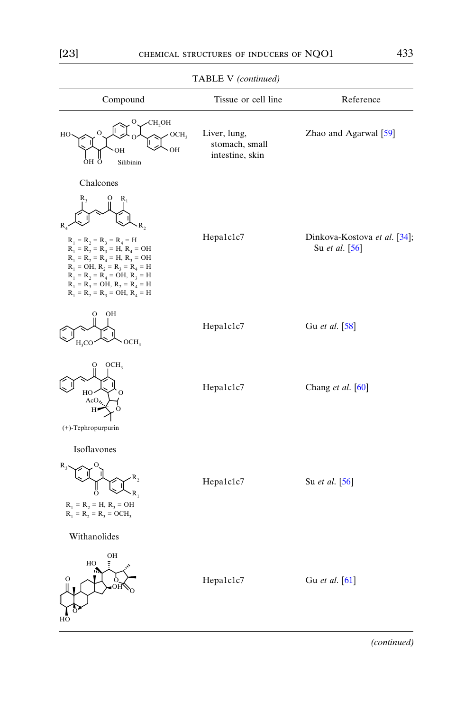| Compound                                                                                                                                                                                                                                               | Tissue or cell line                               | Reference                                      |
|--------------------------------------------------------------------------------------------------------------------------------------------------------------------------------------------------------------------------------------------------------|---------------------------------------------------|------------------------------------------------|
| CH,OH<br>OCH <sub>3</sub><br>HO<br>ОH<br>ÒН Ö<br>Silibinin                                                                                                                                                                                             | Liver, lung,<br>stomach, small<br>intestine, skin | Zhao and Agarwal <sup>[59]</sup>               |
| Chalcones                                                                                                                                                                                                                                              |                                                   |                                                |
| $R_1 = R_2 = R_3 = R_4 = H$<br>$R_1 = R_2 = R_3 = H$ , $R_4 = OH$<br>$R_1 = R_2 = R_4 = H, R_3 = OH$<br>$R_1 = OH$ , $R_2 = R_3 = R_4 = H$<br>$R_1 = R_2 = R_4 = OH, R_3 = H$<br>$R_1 = R_3 = OH$ , $R_2 = R_4 = H$<br>$R_1 = R_2 = R_3 = OH, R_4 = H$ | Hepa1c1c7                                         | Dinkova-Kostova et al. [34];<br>Su et al. [56] |
| OН<br>OCH <sub>3</sub><br>$H_3CO$                                                                                                                                                                                                                      | Hepa1c1c7                                         | Gu et al. [58]                                 |
| OCH <sub>3</sub><br>HO<br>AcO,<br>റ<br>Н                                                                                                                                                                                                               | Hepa1c1c7                                         | Chang et al. [60]                              |
| (+)-Tephropurpurin                                                                                                                                                                                                                                     |                                                   |                                                |
| Isoflavones<br>R<br>$R_1 = R_2 = H, R_3 = OH$<br>$R_1 = R_2 = R_3 = OCH_3$                                                                                                                                                                             | Hepa1c1c7                                         | Su et al. [56]                                 |
| Withanolides                                                                                                                                                                                                                                           |                                                   |                                                |
| OН<br>HO                                                                                                                                                                                                                                               | Hepa1c1c7                                         | Gu et al. [61]                                 |

TABLE V (continued)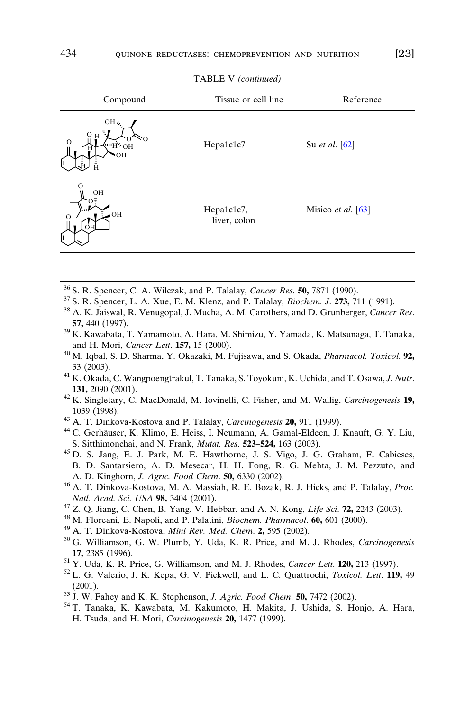<span id="page-11-0"></span>

| $\cdots$                                                     |                            |                                        |  |
|--------------------------------------------------------------|----------------------------|----------------------------------------|--|
| Compound                                                     | Tissue or cell line        | Reference                              |  |
| OH <sub>4</sub><br>$\mathbf O$<br>HO H <sup>1111</sup><br>OН | Hepa1c1c7                  | Su <i>et al.</i> [62]                  |  |
| OН<br>OH<br>$\circ$<br>ΟH<br>ll.                             | Hepa1c1c7,<br>liver, colon | Misico <i>et al.</i> $\left[63\right]$ |  |

TABLE V (continued)

- 
- <sup>36</sup> S. R. Spencer, C. A. Wilczak, and P. Talalay, *Cancer Res.* **50**, 7871 (1990).<br><sup>37</sup> S. R. Spencer, L. A. Xue, E. M. Klenz, and P. Talalay, *Biochem. J.* **273**, 711 (1991).<br><sup>38</sup> A. K. Jaiswal, R. Venugopal, J. Mucha,
- 57, 440 (1997).<br><sup>39</sup> K. Kawabata, T. Yamamoto, A. Hara, M. Shimizu, Y. Yamada, K. Matsunaga, T. Tanaka,
- and H. Mori, Cancer Lett. 157, 15 (2000).<br><sup>40</sup> M. Iqbal, S. D. Sharma, Y. Okazaki, M. Fujisawa, and S. Okada, *Pharmacol. Toxicol*. 92,
- 33 (2003).<br><sup>41</sup> K. Okada, C. Wangpoengtrakul, T. Tanaka, S. Toyokuni, K. Uchida, and T. Osawa, *J. Nutr.*
- **131,** 2090 (2001).  $42$  K. Singletary, C. MacDonald, M. Iovinelli, C. Fisher, and M. Wallig, *Carcinogenesis* 19,
- 1039 (1998).<br><sup>43</sup> A. T. Dinkova-Kostova and P. Talalay, *Carcinogenesis* **20,** 911 (1999).<br><sup>44</sup> C. Gerhäuser, K. Klimo, E. Heiss, I. Neumann, A. Gamal-Eldeen, J. Knauft, G. Y. Liu,
- 
- S. Sitthimonchai, and N. Frank, *Mutat. Res.* 523–524, 163 (2003). 45 D. S. Jang, E. J. Park, M. E. Hawthorne, J. S. Vigo, J. G. Graham, F. Cabieses,
- B. D. Santarsiero, A. D. Mesecar, H. H. Fong, R. G. Mehta, J. M. Pezzuto, and
- A. D. Kinghorn, *J. Agric. Food Chem.* **50**, 6330 (2002). <sup>46</sup> A. T. Dinkova-Kostova, M. A. Massiah, R. E. Bozak, R. J. Hicks, and P. Talalay, *Proc. Natl. Acad. Sci. USA* **98**, 3404 (2001).<br><sup>47</sup> Z. Q. Jiang, C. Chen, B. Yang, V. Hebbar, and A. N. Kong, *Life Sci*. **72**, 2243 (2003).<br><sup>48</sup> M. Floreani, E. Napoli, and P. Palatini, *Biochem. Pharmacol.* **60**, 601 (2000).<br>
- 
- 
- 
- 17, 2385 (1996).<br><sup>51</sup> Y. Uda, K. R. Price, G. Williamson, and M. J. Rhodes, *Cancer Lett*. 120, 213 (1997).<br><sup>52</sup> L. G. Valerio, J. K. Kepa, G. V. Pickwell, and L. C. Quattrochi, *Toxicol. Lett*. 119, 49
- 
- (2001).<br><sup>53</sup> J. W. Fahey and K. K. Stephenson, *J. Agric. Food Chem.* **50,** 7472 (2002).<br><sup>54</sup> T. Tanaka, K. Kawabata, M. Kakumoto, H. Makita, J. Ushida, S. Honjo, A. Hara,
- 
- H. Tsuda, and H. Mori, Carcinogenesis 20, 1477 (1999).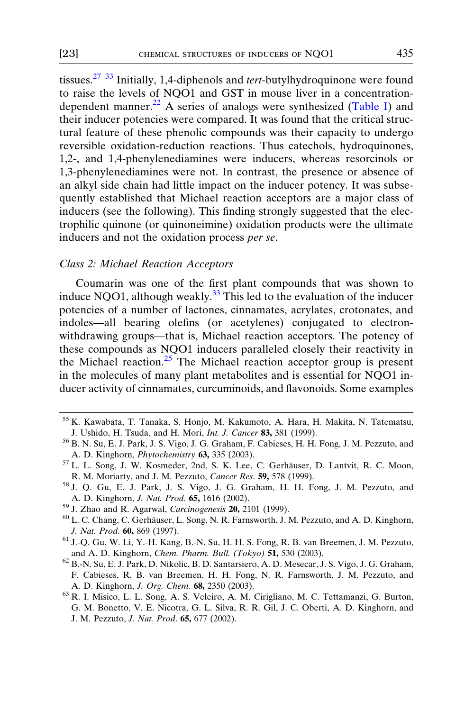<span id="page-12-0"></span>tissues. $27-33$  Initially, 1,4-diphenols and *tert*-butylhydroquinone were found to raise the levels of NQO1 and GST in mouse liver in a concentration-dependent manner.<sup>22</sup> A series of analogs were synthesized ([Table I](#page-4-0)) and their inducer potencies were compared. It was found that the critical structural feature of these phenolic compounds was their capacity to undergo reversible oxidation-reduction reactions. Thus catechols, hydroquinones, 1,2-, and 1,4-phenylenediamines were inducers, whereas resorcinols or 1,3-phenylenediamines were not. In contrast, the presence or absence of an alkyl side chain had little impact on the inducer potency. It was subsequently established that Michael reaction acceptors are a major class of inducers (see the following). This finding strongly suggested that the electrophilic quinone (or quinoneimine) oxidation products were the ultimate inducers and not the oxidation process per se.

#### Class 2: Michael Reaction Acceptors

Coumarin was one of the first plant compounds that was shown to induce NQO1, although weakly.<sup>[33](#page-5-0)</sup> This led to the evaluation of the inducer potencies of a number of lactones, cinnamates, acrylates, crotonates, and indoles—all bearing olefins (or acetylenes) conjugated to electronwithdrawing groups—that is, Michael reaction acceptors. The potency of these compounds as NQO1 inducers paralleled closely their reactivity in the Michael reaction.<sup>[25](#page-3-0)</sup> The Michael reaction acceptor group is present in the molecules of many plant metabolites and is essential for NQO1 inducer activity of cinnamates, curcuminoids, and flavonoids. Some examples

<sup>55</sup> K. Kawabata, T. Tanaka, S. Honjo, M. Kakumoto, A. Hara, H. Makita, N. Tatematsu, J. Ushido, H. Tsuda, and H. Mori, *Int. J. Cancer* 83, 381 (1999). <sup>56</sup> B. N. Su, E. J. Park, J. S. Vigo, J. G. Graham, F. Cabieses, H. H. Fong, J. M. Pezzuto, and

A. D. Kinghorn, *Phytochemistry* 63, 335 (2003).<br><sup>57</sup> L. L. Song, J. W. Kosmeder, 2nd, S. K. Lee, C. Gerhäuser, D. Lantvit, R. C. Moon,

R. M. Moriarty, and J. M. Pezzuto, Cancer Res. 59, 578 (1999).<br><sup>58</sup> J. Q. Gu, E. J. Park, J. S. Vigo, J. G. Graham, H. H. Fong, J. M. Pezzuto, and

A. D. Kinghorn, *J. Nat. Prod.* 65, 1616 (2002).<br><sup>59</sup> J. Zhao and R. Agarwal, *Carcinogenesis* 20, 2101 (1999).<br><sup>60</sup> L. C. Chang, C. Gerhäuser, L. Song, N. R. Farnsworth, J. M. Pezzuto, and A. D. Kinghorn,

J. Nat. Prod. 60, 869 (1997).<br><sup>61</sup> J.-Q. Gu, W. Li, Y.-H. Kang, B.-N. Su, H. H. S. Fong, R. B. van Breemen, J. M. Pezzuto,

and A. D. Kinghorn, Chem. Pharm. Bull. (Tokyo) 51, 530 (2003). <sup>62</sup> B.-N. Su, E. J. Park, D. Nikolic, B. D. Santarsiero, A. D. Mesecar, J. S. Vigo, J. G. Graham,

F. Cabieses, R. B. van Breemen, H. H. Fong, N. R. Farnsworth, J. M. Pezzuto, and A. D. Kinghorn, J. Org. Chem. 68, 2350 (2003).<br><sup>63</sup> R. I. Misico, L. L. Song, A. S. Veleiro, A. M. Cirigliano, M. C. Tettamanzi, G. Burton,

G. M. Bonetto, V. E. Nicotra, G. L. Silva, R. R. Gil, J. C. Oberti, A. D. Kinghorn, and J. M. Pezzuto, J. Nat. Prod. 65, 677 (2002).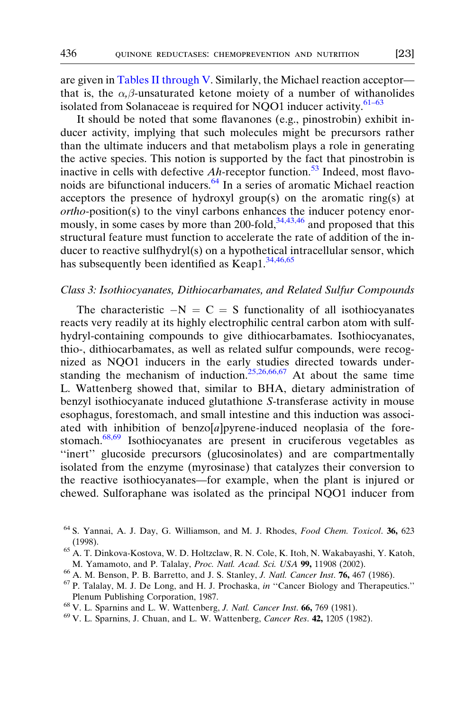<span id="page-13-0"></span>are given in [Tables II through V.](#page-5-0) Similarly, the Michael reaction acceptor that is, the  $\alpha$ , $\beta$ -unsaturated ketone moiety of a number of withanolides isolated from Solanaceae is required for NQO1 inducer activity. $61-63$ 

It should be noted that some flavanones (e.g., pinostrobin) exhibit inducer activity, implying that such molecules might be precursors rather than the ultimate inducers and that metabolism plays a role in generating the active species. This notion is supported by the fact that pinostrobin is inactive in cells with defective  $Ah$ -receptor function.<sup>[53](#page-11-0)</sup> Indeed, most flavonoids are bifunctional inducers. $64$  In a series of aromatic Michael reaction acceptors the presence of hydroxyl group(s) on the aromatic ring(s) at ortho-position(s) to the vinyl carbons enhances the inducer potency enormously, in some cases by more than 200-fold, $34,43,46$  and proposed that this structural feature must function to accelerate the rate of addition of the inducer to reactive sulfhydryl(s) on a hypothetical intracellular sensor, which has subsequently been identified as Keap1.<sup>[34,46,65](#page-5-0)</sup>

#### Class 3: Isothiocyanates, Dithiocarbamates, and Related Sulfur Compounds

The characteristic  $-N = C = S$  functionality of all isothiocyanates reacts very readily at its highly electrophilic central carbon atom with sulfhydryl-containing compounds to give dithiocarbamates. Isothiocyanates, thio-, dithiocarbamates, as well as related sulfur compounds, were recognized as NQO1 inducers in the early studies directed towards under-standing the mechanism of induction.<sup>[25,26,66,67](#page-3-0)</sup> At about the same time L. Wattenberg showed that, similar to BHA, dietary administration of benzyl isothiocyanate induced glutathione S-transferase activity in mouse esophagus, forestomach, and small intestine and this induction was associated with inhibition of benzo $[a]$ pyrene-induced neoplasia of the forestomach.<sup>68,69</sup> Isothiocyanates are present in cruciferous vegetables as "inert" glucoside precursors (glucosinolates) and are compartmentally isolated from the enzyme (myrosinase) that catalyzes their conversion to the reactive isothiocyanates—for example, when the plant is injured or chewed. Sulforaphane was isolated as the principal NQO1 inducer from

Plenum Publishing Corporation, 1987.<br><sup>68</sup> V. L. Sparnins and L. W. Wattenberg, *J. Natl. Cancer Inst.* **66,** 769 (1981).<br><sup>69</sup> V. L. Sparnins, J. Chuan, and L. W. Wattenberg, *Cancer Res.* **42,** 1205 (1982).

<sup>64</sup> S. Yannai, A. J. Day, G. Williamson, and M. J. Rhodes, Food Chem. Toxicol. 36, 623

<sup>(1998).</sup> <sup>65</sup> A. T. Dinkova-Kostova, W. D. Holtzclaw, R. N. Cole, K. Itoh, N. Wakabayashi, Y. Katoh, M. Yamamoto, and P. Talalay, *Proc. Natl. Acad. Sci. USA* **99,** 11908 (2002).<br><sup>66</sup> A. M. Benson, P. B. Barretto, and J. S. Stanley, *J. Natl. Cancer Inst*. **76**, 467 (1986).<br><sup>67</sup> P. Talalay, M. J. De Long, and H. J. Procha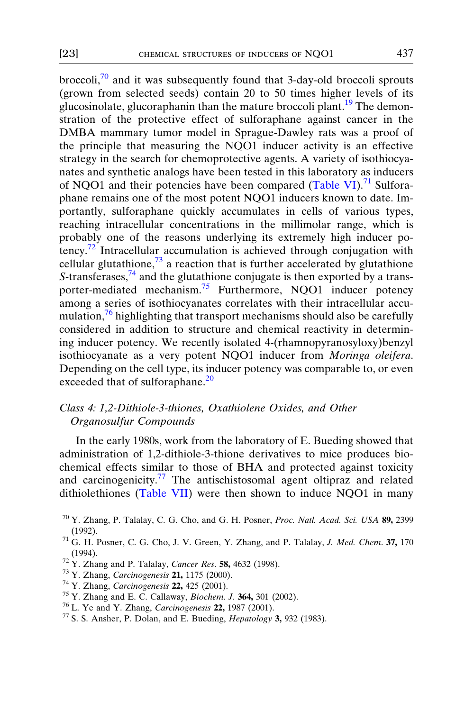<span id="page-14-0"></span>broccoli, $\frac{70}{10}$  and it was subsequently found that 3-day-old broccoli sprouts (grown from selected seeds) contain 20 to 50 times higher levels of its glucosinolate, glucoraphanin than the mature broccoli plant.<sup>[19](#page-1-0)</sup> The demonstration of the protective effect of sulforaphane against cancer in the DMBA mammary tumor model in Sprague-Dawley rats was a proof of the principle that measuring the NQO1 inducer activity is an effective strategy in the search for chemoprotective agents. A variety of isothiocyanates and synthetic analogs have been tested in this laboratory as inducers of NQO1 and their potencies have been compared ([Table VI\)](#page-15-0).<sup>71</sup> Sulforaphane remains one of the most potent NQO1 inducers known to date. Importantly, sulforaphane quickly accumulates in cells of various types, reaching intracellular concentrations in the millimolar range, which is probably one of the reasons underlying its extremely high inducer potency.<sup>72</sup> Intracellular accumulation is achieved through conjugation with cellular glutathione, $73$  a reaction that is further accelerated by glutathione S-transferases,  $74$  and the glutathione conjugate is then exported by a transporter-mediated mechanism.<sup>75</sup> Furthermore, NQO1 inducer potency among a series of isothiocyanates correlates with their intracellular accumulation, $76$  highlighting that transport mechanisms should also be carefully considered in addition to structure and chemical reactivity in determining inducer potency. We recently isolated 4-(rhamnopyranosyloxy)benzyl isothiocyanate as a very potent NQO1 inducer from Moringa oleifera. Depending on the cell type, its inducer potency was comparable to, or even exceeded that of sulforaphane.<sup>[20](#page-1-0)</sup>

### Class 4: 1,2-Dithiole-3-thiones, Oxathiolene Oxides, and Other Organosulfur Compounds

In the early 1980s, work from the laboratory of E. Bueding showed that administration of 1,2-dithiole-3-thione derivatives to mice produces biochemical effects similar to those of BHA and protected against toxicity and carcinogenicity.<sup>77</sup> The antischistosomal agent oltipraz and related dithiolethiones ([Table VII\)](#page-17-0) were then shown to induce NQO1 in many

- 
- 
- 
- 
- 

<sup>&</sup>lt;sup>70</sup> Y. Zhang, P. Talalay, C. G. Cho, and G. H. Posner, *Proc. Natl. Acad. Sci. USA* 89, 2399 (1992).<br><sup>71</sup> G. H. Posner, C. G. Cho, J. V. Green, Y. Zhang, and P. Talalay, *J. Med. Chem.* **37,** 170

<sup>(1994).&</sup>lt;br><sup>72</sup> Y. Zhang and P. Talalay, *Cancer Res.* **58**, 4632 (1998).<br><sup>73</sup> Y. Zhang, *Carcinogenesis* **21**, 1175 (2000).<br><sup>74</sup> Y. Zhang, *Carcinogenesis* **22**, 425 (2001).<br><sup>75</sup> Y. Zhang and E. C. Callaway, *Biochem. J.*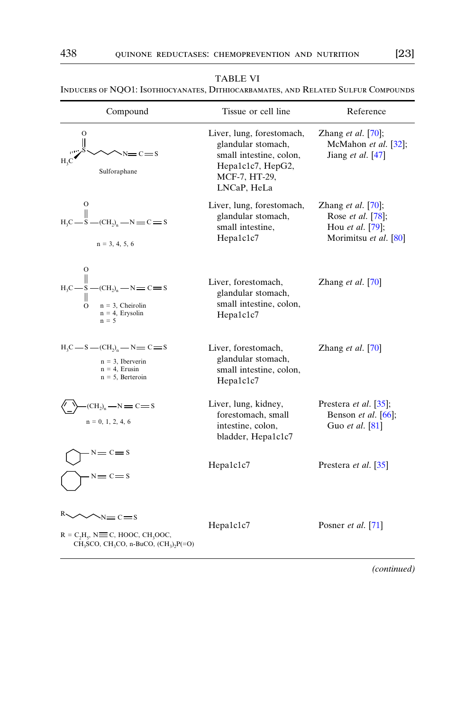<span id="page-15-0"></span>Inducers of NQO1: Isothiocyanates, Dithiocarbamates, and Related Sulfur Compounds

| Compound                                                                                                                                                          | Tissue or cell line                                                                                                             | Reference                                                                                             |
|-------------------------------------------------------------------------------------------------------------------------------------------------------------------|---------------------------------------------------------------------------------------------------------------------------------|-------------------------------------------------------------------------------------------------------|
| $\circ$<br>$-c = s$<br>Sulforaphane                                                                                                                               | Liver, lung, forestomach,<br>glandular stomach,<br>small intestine, colon,<br>Hepa1c1c7, HepG2,<br>MCF-7, HT-29,<br>LNCaP, HeLa | Zhang <i>et al.</i> $[70]$ ;<br>McMahon et al. [32];<br>Jiang et al. $[47]$                           |
| $\circ$<br>$H_3C-S$ - $(CH_2)_n$ - $N = C = S$<br>$n = 3, 4, 5, 6$                                                                                                | Liver, lung, forestomach,<br>glandular stomach,<br>small intestine,<br>Hepa1c1c7                                                | Zhang <i>et al.</i> $[70]$ ;<br>Rose et al. [78];<br>Hou <i>et al.</i> [79];<br>Morimitsu et al. [80] |
| $\circ$<br>$-CCH2$ <sub>n</sub> $-N=C=S$<br>$H_2C \longrightarrow S$<br>$n = 3$ , Cheirolin<br>$\Omega$<br>$n = 4$ , Erysolin<br>$n = 5$                          | Liver, forestomach,<br>glandular stomach,<br>small intestine, colon,<br>Hepa1c1c7                                               | Zhang <i>et al.</i> $\lceil 70 \rceil$                                                                |
| $H_3C$ — S — $(CH_2)_n$ — N — C — S<br>$n = 3$ , Iberverin<br>$n = 4$ , Erusin<br>$n = 5$ , Berteroin                                                             | Liver, forestomach,<br>glandular stomach,<br>small intestine, colon,<br>Hepa1c1c7                                               | Zhang et al. $[70]$                                                                                   |
| $\left( \text{CH}_2 \right)_{n} - \text{N} = \text{C} = \text{S}$<br>$n = 0, 1, 2, 4, 6$                                                                          | Liver, lung, kidney,<br>forestomach, small<br>intestine, colon,<br>bladder, Hepa1c1c7                                           | Prestera et al. [35];<br>Benson <i>et al.</i> $[66]$ ;<br>Guo et al. [81]                             |
| $\mathbf{s} = \mathbf{c} = \mathbf{s}$<br>$\mathbf{N} = \mathbf{C} = \mathbf{S}$                                                                                  | Hepa1c1c7                                                                                                                       | Prestera <i>et al.</i> [35]                                                                           |
| $\sim$ N $=$ C $=$ S<br>$R = C_2H_5$ , N $\equiv$ C, HOOC, CH <sub>3</sub> OOC,<br>CH <sub>3</sub> SCO, CH <sub>3</sub> CO, n-BuCO, $(CH_3)$ <sub>2</sub> $P(=O)$ | Hepa1c1c7                                                                                                                       | Posner <i>et al.</i> [71]                                                                             |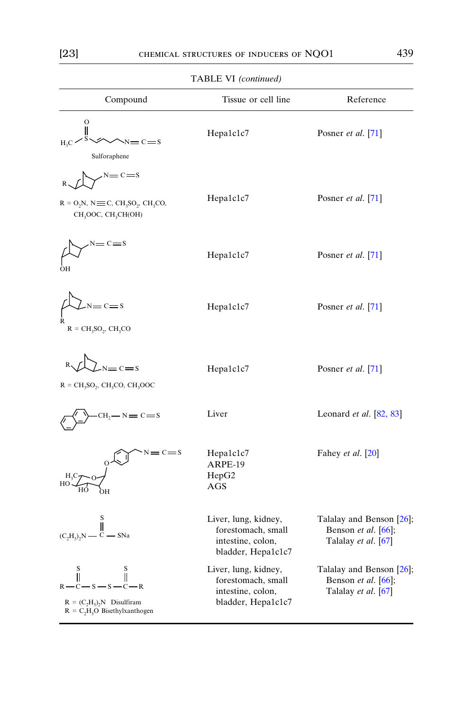| Compound                                                                                                                                                  | Tissue or cell line                                                                   | Reference                                                                                    |
|-----------------------------------------------------------------------------------------------------------------------------------------------------------|---------------------------------------------------------------------------------------|----------------------------------------------------------------------------------------------|
| $\circ$<br>II<br>$= C = S$<br>Sulforaphene                                                                                                                | Hepa1c1c7                                                                             | Posner et al. [71]                                                                           |
| $N = C = S$<br>$R = O2N$ , N $\equiv$ C, CH <sub>3</sub> SO <sub>2</sub> , CH <sub>3</sub> CO <sub>2</sub><br>CH <sub>3</sub> OOC, CH <sub>3</sub> CH(OH) | Hepa1c1c7                                                                             | Posner et al. [71]                                                                           |
| OН                                                                                                                                                        | Hepa1c1c7                                                                             | Posner <i>et al.</i> [71]                                                                    |
| $= c = s$<br>$R = CH3SO2, CH3CO$                                                                                                                          | Hepa1c1c7                                                                             | Posner et al. [71]                                                                           |
| $2N=C=S$<br>$R = CH3SO2$ , CH <sub>3</sub> CO, CH <sub>3</sub> OOC                                                                                        | Hepa1c1c7                                                                             | Posner et al. [71]                                                                           |
| $H_2 - N = C = S$                                                                                                                                         | Liver                                                                                 | Leonard et al. [82, 83]                                                                      |
| $s = c = s$                                                                                                                                               | Hepa1c1c7<br>ARPE-19<br>HepG2<br>AGS                                                  | Fahey et al. [20]                                                                            |
| Ů<br>$(C, H5), N \tC \t-SNa$                                                                                                                              | Liver, lung, kidney,<br>forestomach, small<br>intestine, colon,<br>bladder, Hepa1c1c7 | Talalay and Benson [26];<br>Benson <i>et al.</i> $\lceil 66 \rceil$ ,<br>Talalay et al. [67] |
| Ï<br>$-R$<br>$-s - s -$<br>$R = (C_2H_5)_2N$ Disulfiram<br>$R = C_2H_5O$ Bisethylxanthogen                                                                | Liver, lung, kidney,<br>forestomach, small<br>intestine, colon,<br>bladder, Hepa1c1c7 | Talalay and Benson [26];<br>Benson et al. [66];<br>Talalay et al. [67]                       |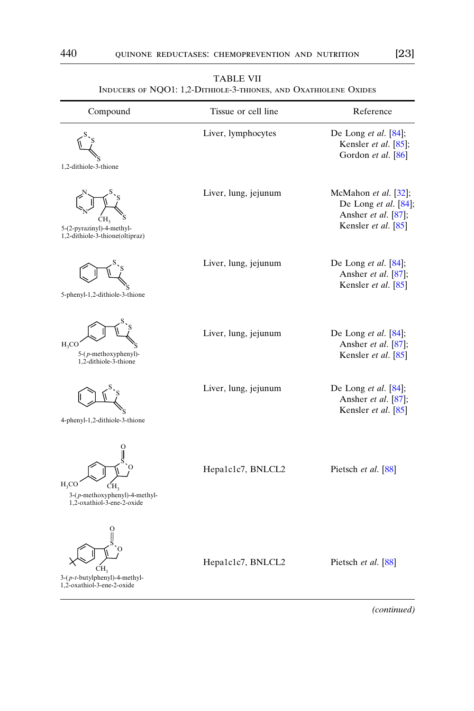<span id="page-17-0"></span>

| Liver, lymphocytes   | De Long et al. [84];<br>Kensler et al. [85];<br>Gordon et al. [86]                         |
|----------------------|--------------------------------------------------------------------------------------------|
| Liver, lung, jejunum | McMahon et al. [32];<br>De Long et al. [84];<br>Ansher et al. [87];<br>Kensler et al. [85] |
| Liver, lung, jejunum | De Long et al. [84];<br>Ansher et al. [87];<br>Kensler et al. [85]                         |
| Liver, lung, jejunum | De Long et al. [84];<br>Ansher et al. [87];<br>Kensler et al. [85]                         |
| Liver, lung, jejunum | De Long et al. $[84]$ ;<br>Ansher et al. [87];<br>Kensler et al. [85]                      |
| Hepa1c1c7, BNLCL2    | Pietsch et al. [88]                                                                        |
| Hepa1c1c7, BNLCL2    | Pietsch et al. [88]                                                                        |
|                      |                                                                                            |

TABLE VII Inducers of NQO1: 1,2-Dithiole-3-thiones, and Oxathiolene Oxides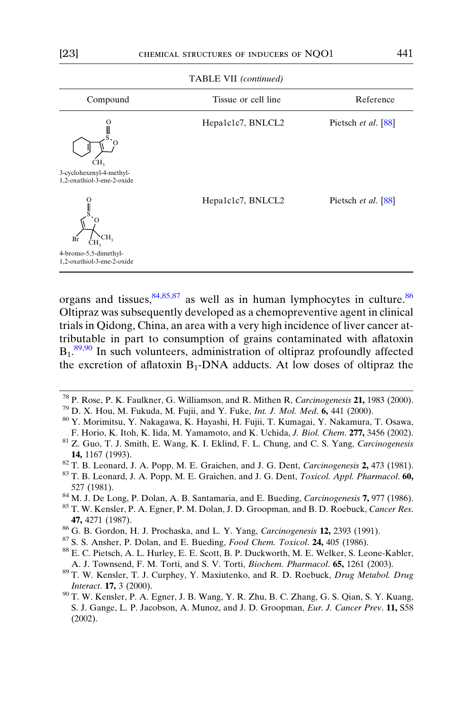<span id="page-18-0"></span>

| Compound                                               | Tissue or cell line | Reference           |
|--------------------------------------------------------|---------------------|---------------------|
| CH,                                                    | Hepa1c1c7, BNLCL2   | Pietsch et al. [88] |
| 3-cyclohexenyl-4-methyl-<br>1,2-oxathiol-3-ene-2-oxide |                     |                     |
| CH <sub>3</sub><br>Br                                  | Hepa1c1c7, BNLCL2   | Pietsch et al. [88] |
| 4-bromo-5,5-dimethyl-<br>1,2-oxathiol-3-ene-2-oxide    |                     |                     |

TABLE VII (continued)

organs and tissues,  $84,85,87$  as well as in human lymphocytes in culture.  $86$ Oltipraz was subsequently developed as a chemopreventive agent in clinical trials in Qidong, China, an area with a very high incidence of liver cancer attributable in part to consumption of grains contaminated with aflatoxin  $B_1$ .<sup>89,90</sup> In such volunteers, administration of oltipraz profoundly affected the excretion of aflatoxin  $B_1$ -DNA adducts. At low doses of oltipraz the

- 
- 527 (1981). 84 M. J. De Long, P. Dolan, A. B. Santamaria, and E. Bueding, *Carcinogenesis* **7,** 977 (1986). 85 T. W. Kensler, P. A. Egner, P. M. Dolan, J. D. Groopman, and B. D. Roebuck, *Cancer Res.*
- 
- **47,** 4271 (1987).<br><sup>86</sup> G. B. Gordon, H. J. Prochaska, and L. Y. Yang, *Carcinogenesis* **12,** 2393 (1991).<br><sup>87</sup> S. S. Ansher, P. Dolan, and E. Bueding, *Food Chem. Toxicol*. **24,** 405 (1986).<br><sup>88</sup> E. C. Pietsch, A. L. Hurl
- 
- 
- 
- A. J. Townsend, F. M. Torti, and S. V. Torti, *Biochem. Pharmacol.* **65,** 1261 (2003). <sup>89</sup> T. W. Kensler, T. J. Curphey, Y. Maxiutenko, and R. D. Roebuck, *Drug Metabol. Drug* Interact. **17,** 3 (2000).<br><sup>90</sup> T. W. Kensler, P. A. Egner, J. B. Wang, Y. R. Zhu, B. C. Zhang, G. S. Qian, S. Y. Kuang,
- S. J. Gange, L. P. Jacobson, A. Munoz, and J. D. Groopman, Eur. J. Cancer Prev. 11, S58 (2002).

<sup>&</sup>lt;sup>78</sup> P. Rose, P. K. Faulkner, G. Williamson, and R. Mithen R, Carcinogenesis **21,** 1983 (2000).<br><sup>79</sup> D. X. Hou, M. Fukuda, M. Fujii, and Y. Fuke, *Int. J. Mol. Med.* **6,** 441 (2000).<br><sup>80</sup> Y. Morimitsu, Y. Nakagawa, K. Hay

F. Horio, K. Itoh, K. Iida, M. Yamamoto, and K. Uchida, J. Biol. Chem. 277, 3456 (2002). <sup>81</sup> Z. Guo, T. J. Smith, E. Wang, K. I. Eklind, F. L. Chung, and C. S. Yang, Carcinogenesis **14,** 1167 (1993).<br><sup>82</sup> T. B. Leonard, J. A. Popp, M. E. Graichen, and J. G. Dent, *Carcinogenesis* **2,** 473 (1981).<br><sup>83</sup> T. B. Leonard, J. A. Popp, M. E. Graichen, and J. G. Dent, *Toxicol. Appl. Pharmacol.* 60,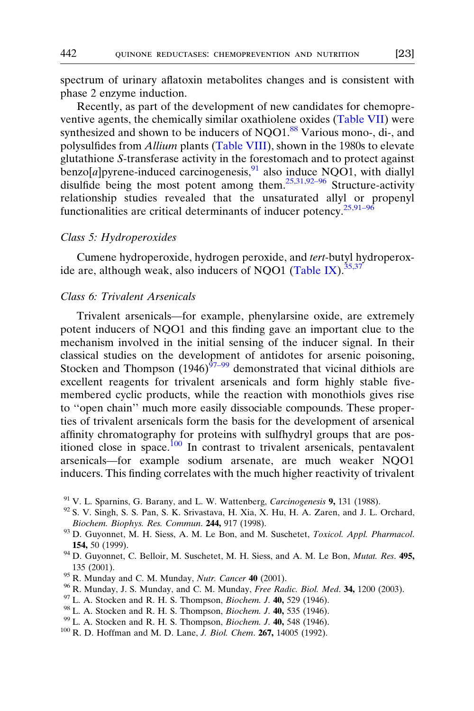<span id="page-19-0"></span>spectrum of urinary aflatoxin metabolites changes and is consistent with phase 2 enzyme induction.

Recently, as part of the development of new candidates for chemopreventive agents, the chemically similar oxathiolene oxides [\(Table VII](#page-17-0)) were synthesized and shown to be inducers of NQO1.<sup>[88](#page-18-0)</sup> Various mono-, di-, and polysulfides from Allium plants ([Table VIII](#page-20-0)), shown in the 1980s to elevate glutathione S-transferase activity in the forestomach and to protect against  $\overline{b}$ enzo[a]pyrene-induced carcinogenesis,  $91$  also induce NQO1, with diallyl disulfide being the most potent among them.<sup>[25,31,92–96](#page-3-0)</sup> Structure-activity relationship studies revealed that the unsaturated allyl or propenyl functionalities are critical determinants of inducer potency.<sup>[25,91–96](#page-3-0)</sup>

#### Class 5: Hydroperoxides

Cumene hydroperoxide, hydrogen peroxide, and tert-butyl hydroperox-ide are, although weak, also inducers of NQO1 ([Table IX](#page-21-0)).  $35,37$ 

#### Class 6: Trivalent Arsenicals

Trivalent arsenicals—for example, phenylarsine oxide, are extremely potent inducers of NQO1 and this finding gave an important clue to the mechanism involved in the initial sensing of the inducer signal. In their classical studies on the development of antidotes for arsenic poisoning, Stocken and Thompson  $(1946)^{97-99}$  demonstrated that vicinal dithiols are excellent reagents for trivalent arsenicals and form highly stable fivemembered cyclic products, while the reaction with monothiols gives rise to ''open chain'' much more easily dissociable compounds. These properties of trivalent arsenicals form the basis for the development of arsenical affinity chromatography for proteins with sulfhydryl groups that are positioned close in space.<sup>100</sup> In contrast to trivalent arsenicals, pentavalent arsenicals—for example sodium arsenate, are much weaker NQO1 inducers. This finding correlates with the much higher reactivity of trivalent

- 
- <sup>91</sup> V. L. Sparnins, G. Barany, and L. W. Wattenberg, *Carcinogenesis* **9**, 131 (1988). <sup>92</sup> S. V. Singh, S. S. Pan, S. K. Srivastava, H. Xia, X. Hu, H. A. Zaren, and J. L. Orchard,
- Biochem. Biophys. Res. Commun. 244, 917 (1998).<br><sup>93</sup> D. Guyonnet, M. H. Siess, A. M. Le Bon, and M. Suschetet, *Toxicol. Appl. Pharmacol.*
- **154**, 50 (1999).<br><sup>94</sup> D. Guyonnet, C. Belloir, M. Suschetet, M. H. Siess, and A. M. Le Bon, *Mutat. Res.* **495**, <sup>95</sup> R. Munday and C. M. Munday, *Nutr. Cancer* **40** (2001).<br><sup>96</sup> R. Munday, J. S. Munday, and C. M. Munday, *Free Radic. Biol. Med.* **34**, 1200 (2003).<br><sup>97</sup> L. A. Stocken and R. H. S. Thompson, *Biochem. J.* **40**, 529 (1
- 
- 
- 
- 
- 
-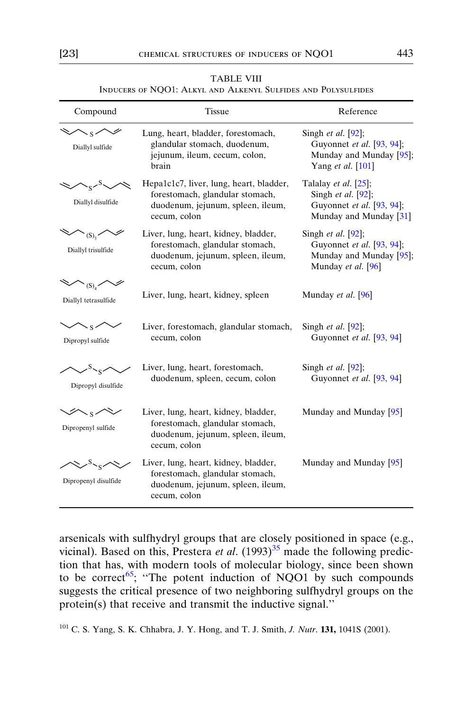<span id="page-20-0"></span>

| Compound                                                                                               | <b>Tissue</b>                                                                                                                   | Reference                                                                                                   |
|--------------------------------------------------------------------------------------------------------|---------------------------------------------------------------------------------------------------------------------------------|-------------------------------------------------------------------------------------------------------------|
| Diallyl sulfide                                                                                        | Lung, heart, bladder, forestomach,<br>glandular stomach, duodenum,<br>jejunum, ileum, cecum, colon,<br>brain                    | Singh <i>et al.</i> [92];<br>Guyonnet et al. [93, 94];<br>Munday and Munday [95];<br>Yang et al. [101]      |
| $\sim$ <sup>8</sup><br>Diallyl disulfide                                                               | Hepa1c1c7, liver, lung, heart, bladder,<br>forestomach, glandular stomach,<br>duodenum, jejunum, spleen, ileum,<br>cecum, colon | Talalay <i>et al.</i> $[25]$ ;<br>Singh et al. [92];<br>Guyonnet et al. [93, 94];<br>Munday and Munday [31] |
| $\begin{matrix} \diagup \\ \diagup \\ \diagdown \\ \diagdown \end{matrix}$<br>Diallyl trisulfide       | Liver, lung, heart, kidney, bladder,<br>forestomach, glandular stomach,<br>duodenum, jejunum, spleen, ileum,<br>cecum, colon    | Singh <i>et al.</i> $[92]$ ;<br>Guyonnet et al. [93, 94];<br>Munday and Munday [95];<br>Munday et al. [96]  |
| $\left\langle \mathcal{S}\right\rangle _{(\mathrm{S})_{4}}\diagup \mathcal{S}$<br>Diallyl tetrasulfide | Liver, lung, heart, kidney, spleen                                                                                              | Munday <i>et al.</i> [96]                                                                                   |
| $\curvearrowright$ s $\curvearrowright$<br>Dipropyl sulfide                                            | Liver, forestomach, glandular stomach,<br>cecum, colon                                                                          | Singh <i>et al.</i> $[92]$ ;<br>Guyonnet et al. [93, 94]                                                    |
| $\sim$ s $\sim$<br>Dipropyl disulfide                                                                  | Liver, lung, heart, forestomach,<br>duodenum, spleen, cecum, colon                                                              | Singh <i>et al.</i> [92];<br>Guyonnet et al. [93, 94]                                                       |
| $\nearrow\hspace{-.15cm}\swarrow$<br>Dipropenyl sulfide                                                | Liver, lung, heart, kidney, bladder,<br>forestomach, glandular stomach,<br>duodenum, jejunum, spleen, ileum,<br>cecum, colon    | Munday and Munday $[95]$                                                                                    |
| $\sim$ . $\sim$<br>Dipropenyl disulfide                                                                | Liver, lung, heart, kidney, bladder,<br>forestomach, glandular stomach,<br>duodenum, jejunum, spleen, ileum,<br>cecum, colon    | Munday and Munday $[95]$                                                                                    |

#### TABLE VIII Inducers of NQO1: Alkyl and Alkenyl Sulfides and Polysulfides

arsenicals with sulfhydryl groups that are closely positioned in space (e.g., vicinal). Based on this, Prestera et al.  $(1993)^{35}$  $(1993)^{35}$  $(1993)^{35}$  made the following prediction that has, with modern tools of molecular biology, since been shown to be correct<sup>65</sup>; "The potent induction of NQO1 by such compounds suggests the critical presence of two neighboring sulfhydryl groups on the protein(s) that receive and transmit the inductive signal.''

<sup>101</sup> C. S. Yang, S. K. Chhabra, J. Y. Hong, and T. J. Smith, J. Nutr. 131, 1041S (2001).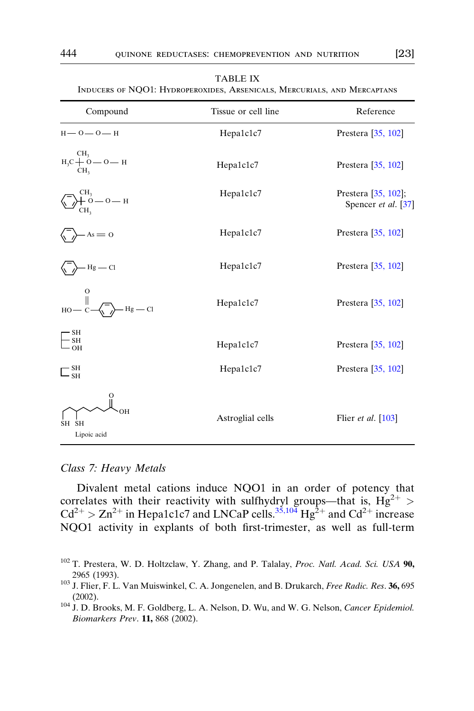<span id="page-21-0"></span>

| INDUCERS OF NQO1: HYDROPEROXIDES, ARSENICALS, MERCURIALS, AND MERCAPTANS                                                                                                                                 |                     |                                            |  |
|----------------------------------------------------------------------------------------------------------------------------------------------------------------------------------------------------------|---------------------|--------------------------------------------|--|
| Compound                                                                                                                                                                                                 | Tissue or cell line | Reference                                  |  |
| $H - 0 - 0 - H$                                                                                                                                                                                          | Hepa1c1c7           | Prestera $[35, 102]$                       |  |
| $\mathbf{H}_{3}\mathbf{C} \begin{array}{c}\mathbf{C}\mathbf{H}_{3} \\ +\mathbf{O} \begin{array}{c}-\mathbf{O} \begin{array}{c}-\mathbf{H} \end{array} \\ \mathbf{C}\mathbf{H}_{3}\end{array}\end{array}$ | Hepa1c1c7           | Prestera [35, 102]                         |  |
| $\sum_{CH_3}^{CH_3}$ — 0 — H                                                                                                                                                                             | Hepa1c1c7           | Prestera [35, 102];<br>Spencer et al. [37] |  |
| $-As = 0$                                                                                                                                                                                                | Hepa1c1c7           | Prestera $[35, 102]$                       |  |
| $-Hg$ — Cl                                                                                                                                                                                               | Hepa1c1c7           | Prestera $[35, 102]$                       |  |
| $H$ OH<br>$Hg$ — Cl                                                                                                                                                                                      | Hepa1c1c7           | Prestera $[35, 102]$                       |  |
| $-\frac{\text{SH}}{\text{SH}}$<br>$-OH$                                                                                                                                                                  | Hepa1c1c7           | Prestera $[35, 102]$                       |  |
| $\sqsubset_{\scriptscriptstyle\rm SH}^{\scriptscriptstyle\rm SH}$                                                                                                                                        | Hepa1c1c7           | Prestera $[35, 102]$                       |  |
| SH<br><b>SH</b><br>Lipoic acid                                                                                                                                                                           | Astroglial cells    | Flier <i>et al.</i> $[103]$                |  |

#### TABLE IX

#### Class 7: Heavy Metals

Divalent metal cations induce NQO1 in an order of potency that correlates with their reactivity with sulfhydryl groups—that is,  $Hg^{2+}$  >  $Cd^{2+} > Zn^{2+}$  in Hepa1c1c7 and LNCaP cells.<sup>[35,104](#page-5-0)</sup> Hg<sup>2+</sup> and Cd<sup>2+</sup> increase NQO1 activity in explants of both first-trimester, as well as full-term

<sup>&</sup>lt;sup>102</sup> T. Prestera, W. D. Holtzclaw, Y. Zhang, and P. Talalay, Proc. Natl. Acad. Sci. USA 90, 2965 (1993).<br><sup>103</sup> J. Flier, F. L. Van Muiswinkel, C. A. Jongenelen, and B. Drukarch, *Free Radic. Res.* **36,** 695

<sup>(2002).</sup>  $104$  J. D. Brooks, M. F. Goldberg, L. A. Nelson, D. Wu, and W. G. Nelson, *Cancer Epidemiol*. Biomarkers Prev. 11, 868 (2002).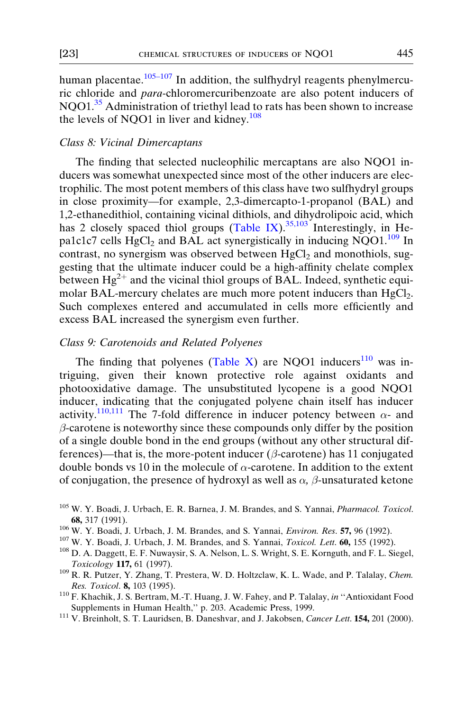<span id="page-22-0"></span>human placentae. $105-107$  In addition, the sulfhydryl reagents phenylmercuric chloride and para-chloromercuribenzoate are also potent inducers of NQO1.[35](#page-5-0) Administration of triethyl lead to rats has been shown to increase the levels of NQO1 in liver and kidney.<sup>108</sup>

#### Class 8: Vicinal Dimercaptans

The finding that selected nucleophilic mercaptans are also NQO1 inducers was somewhat unexpected since most of the other inducers are electrophilic. The most potent members of this class have two sulfhydryl groups in close proximity—for example, 2,3-dimercapto-1-propanol (BAL) and 1,2-ethanedithiol, containing vicinal dithiols, and dihydrolipoic acid, which has 2 closely spaced thiol groups ([Table IX\)](#page-21-0).<sup>[35,103](#page-5-0)</sup> Interestingly, in Hepa1c1c7 cells  $HgCl<sub>2</sub>$  and BAL act synergistically in inducing NQO1.<sup>109</sup> In contrast, no synergism was observed between  $HgCl<sub>2</sub>$  and monothiols, suggesting that the ultimate inducer could be a high-affinity chelate complex between  $Hg^{2+}$  and the vicinal thiol groups of BAL. Indeed, synthetic equimolar BAL-mercury chelates are much more potent inducers than HgCl<sub>2</sub>. Such complexes entered and accumulated in cells more efficiently and excess BAL increased the synergism even further.

#### Class 9: Carotenoids and Related Polyenes

The finding that polyenes ([Table X](#page-23-0)) are NQO1 inducers<sup>110</sup> was intriguing, given their known protective role against oxidants and photooxidative damage. The unsubstituted lycopene is a good NQO1 inducer, indicating that the conjugated polyene chain itself has inducer activity.<sup>110,111</sup> The 7-fold difference in inducer potency between  $\alpha$ - and  $\beta$ -carotene is noteworthy since these compounds only differ by the position of a single double bond in the end groups (without any other structural differences)—that is, the more-potent inducer ( $\beta$ -carotene) has 11 conjugated double bonds vs 10 in the molecule of  $\alpha$ -carotene. In addition to the extent of conjugation, the presence of hydroxyl as well as  $\alpha$ ,  $\beta$ -unsaturated ketone

- Toxicology 117, 61 (1997).<br><sup>109</sup> R. R. Putzer, Y. Zhang, T. Prestera, W. D. Holtzclaw, K. L. Wade, and P. Talalay, *Chem.*
- Res. Toxicol. 8, 103 (1995).<br><sup>110</sup> F. Khachik, J. S. Bertram, M.-T. Huang, J. W. Fahey, and P. Talalay, in "Antioxidant Food
- Supplements in Human Health," p. 203. Academic Press, 1999.<br><sup>111</sup> V. Breinholt, S. T. Lauridsen, B. Daneshvar, and J. Jakobsen, Cancer Lett. **154,** 201 (2000).

<sup>105</sup> W. Y. Boadi, J. Urbach, E. R. Barnea, J. M. Brandes, and S. Yannai, Pharmacol. Toxicol. 68, 317 (1991).<br><sup>106</sup> W. Y. Boadi, J. Urbach, J. M. Brandes, and S. Yannai, *Environ. Res.* 57, 96 (1992).<br><sup>107</sup> W. Y. Boadi, J. Urbach, J. M. Brandes, and S. Yannai, *Toxicol. Lett.* 60, 155 (1992).<br><sup>108</sup> D. A. Daggett, E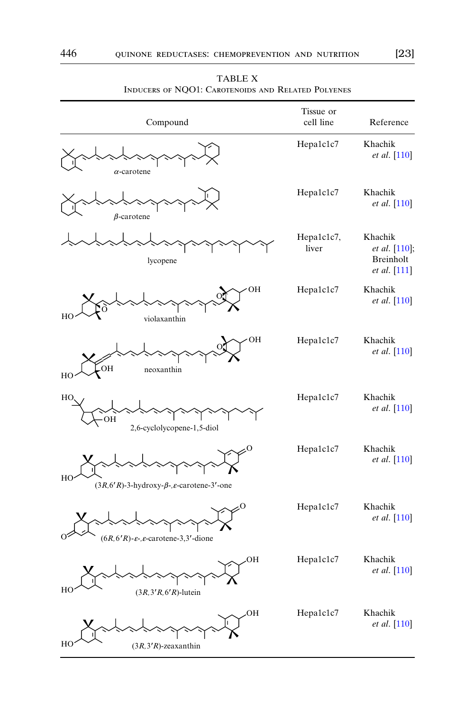<span id="page-23-0"></span>

| Compound                                                                | Tissue or<br>cell line | Reference                                             |
|-------------------------------------------------------------------------|------------------------|-------------------------------------------------------|
| $\alpha$ -carotene                                                      | Hepa1c1c7              | Khachik<br><i>et al.</i> [110]                        |
| $\beta$ -carotene                                                       | Hepa1c1c7              | Khachik<br>et al. [110]                               |
| lycopene                                                                | Hepa1c1c7,<br>liver    | Khachik<br>et al. [110];<br>Breinholt<br>et al. [111] |
| OH<br>H<br>violaxanthin                                                 | Hepa1c1c7              | Khachik<br>et al. [110]                               |
| OН<br><b>OH</b><br>neoxanthin<br>HC                                     | Hepa1c1c7              | Khachik<br><i>et al.</i> [110]                        |
| HC<br>OH<br>2,6-cyclolycopene-1,5-diol                                  | Hepa1c1c7              | Khachik<br>et al. [110]                               |
| HC<br>$(3R, 6'R)$ -3-hydroxy- $\beta$ -, $\varepsilon$ -carotene-3'-one | Hepa1c1c7              | Khachik<br><i>et al.</i> [110]                        |
| $(6R, 6'R)$ - $\varepsilon$ -, $\varepsilon$ -carotene-3,3'-dione       | Hepa1c1c7              | Khachik<br>et al. [110]                               |
| OН<br>H<br>$(3R, 3'R, 6'R)$ -lutein                                     | Hepa1c1c7              | Khachik<br><i>et al.</i> [110]                        |
| OН<br>HO<br>$(3R, 3'R)$ -zeaxanthin                                     | Hepa1c1c7              | Khachik<br>et al. [110]                               |

TABLE X Inducers of NQO1: Carotenoids and Related Polyenes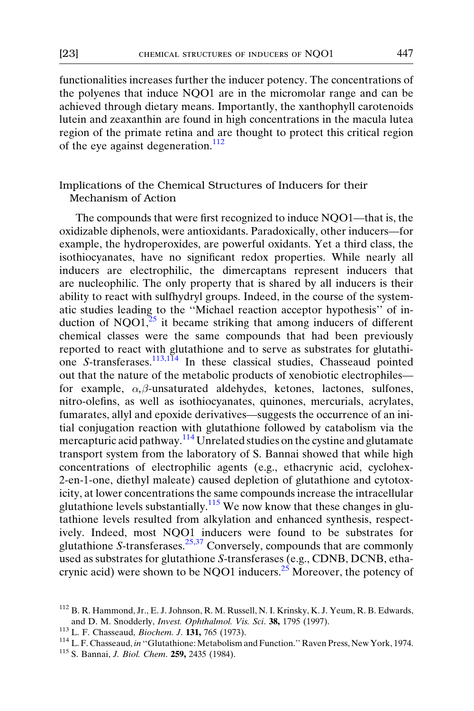functionalities increases further the inducer potency. The concentrations of the polyenes that induce NQO1 are in the micromolar range and can be achieved through dietary means. Importantly, the xanthophyll carotenoids lutein and zeaxanthin are found in high concentrations in the macula lutea region of the primate retina and are thought to protect this critical region of the eye against degeneration. $^{112}$ 

### Implications of the Chemical Structures of Inducers for their Mechanism of Action

The compounds that were first recognized to induce NQO1—that is, the oxidizable diphenols, were antioxidants. Paradoxically, other inducers—for example, the hydroperoxides, are powerful oxidants. Yet a third class, the isothiocyanates, have no significant redox properties. While nearly all inducers are electrophilic, the dimercaptans represent inducers that are nucleophilic. The only property that is shared by all inducers is their ability to react with sulfhydryl groups. Indeed, in the course of the systematic studies leading to the ''Michael reaction acceptor hypothesis'' of induction of NQO1, $^{25}$  $^{25}$  $^{25}$  it became striking that among inducers of different chemical classes were the same compounds that had been previously reported to react with glutathione and to serve as substrates for glutathione S-transferases.<sup>113,114</sup> In these classical studies, Chasseaud pointed out that the nature of the metabolic products of xenobiotic electrophiles for example,  $\alpha$ , $\beta$ -unsaturated aldehydes, ketones, lactones, sulfones, nitro-olefins, as well as isothiocyanates, quinones, mercurials, acrylates, fumarates, allyl and epoxide derivatives—suggests the occurrence of an initial conjugation reaction with glutathione followed by catabolism via the mercapturic acid pathway.<sup>114</sup> Unrelated studies on the cystine and glutamate transport system from the laboratory of S. Bannai showed that while high concentrations of electrophilic agents (e.g., ethacrynic acid, cyclohex-2-en-1-one, diethyl maleate) caused depletion of glutathione and cytotoxicity, at lower concentrations the same compounds increase the intracellular glutathione levels substantially.<sup>115</sup> We now know that these changes in glutathione levels resulted from alkylation and enhanced synthesis, respectively. Indeed, most NQO1 inducers were found to be substrates for glutathione S-transferases.<sup>[25,37](#page-3-0)</sup> Conversely, compounds that are commonly used as substrates for glutathione S-transferases (e.g., CDNB, DCNB, etha-crynic acid) were shown to be NQO1 inducers.<sup>[25](#page-3-0)</sup> Moreover, the potency of

<sup>112</sup> B. R. Hammond, Jr., E. J. Johnson, R. M. Russell, N. I. Krinsky, K. J. Yeum, R. B. Edwards, and D. M. Snodderly, *Invest. Ophthalmol. Vis. Sci.* **38,** 1795 (1997).<br><sup>113</sup> L. F. Chasseaud, *Biochem. J*. **131**, 765 (1973).<br><sup>114</sup> L. F. Chasseaud, *in* "Glutathione: Metabolism and Function." Raven Press, New York, 197